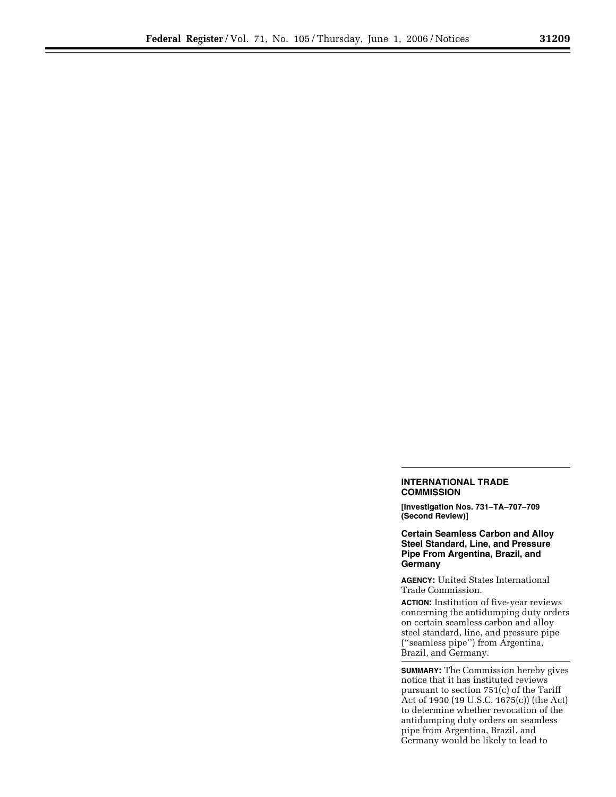## **INTERNATIONAL TRADE COMMISSION**

**[Investigation Nos. 731–TA–707–709 (Second Review)]** 

**Certain Seamless Carbon and Alloy Steel Standard, Line, and Pressure Pipe From Argentina, Brazil, and Germany** 

**AGENCY:** United States International Trade Commission.

**ACTION:** Institution of five-year reviews concerning the antidumping duty orders on certain seamless carbon and alloy steel standard, line, and pressure pipe (''seamless pipe'') from Argentina, Brazil, and Germany.

**SUMMARY:** The Commission hereby gives notice that it has instituted reviews pursuant to section 751(c) of the Tariff Act of 1930 (19 U.S.C. 1675(c)) (the Act) to determine whether revocation of the antidumping duty orders on seamless pipe from Argentina, Brazil, and Germany would be likely to lead to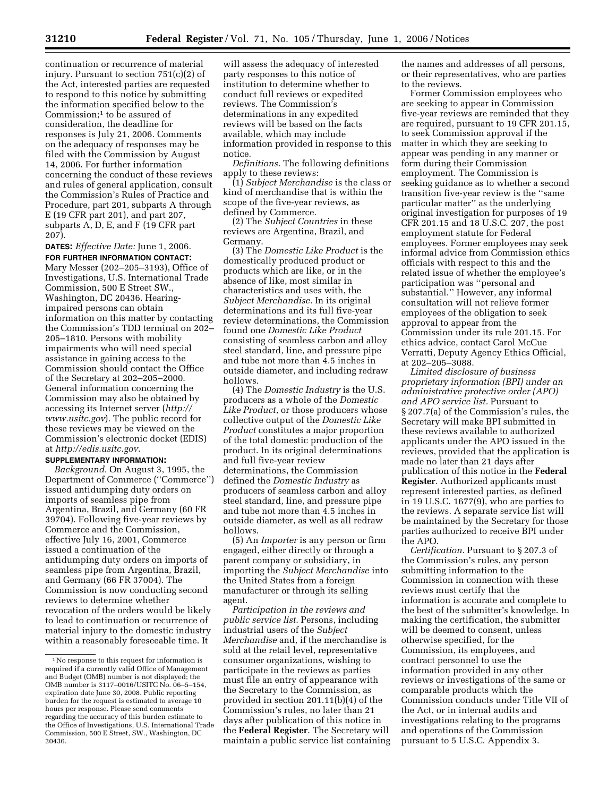continuation or recurrence of material injury. Pursuant to section 751(c)(2) of the Act, interested parties are requested to respond to this notice by submitting the information specified below to the Commission;1 to be assured of consideration, the deadline for responses is July 21, 2006. Comments on the adequacy of responses may be filed with the Commission by August 14, 2006. For further information concerning the conduct of these reviews and rules of general application, consult the Commission's Rules of Practice and Procedure, part 201, subparts A through E (19 CFR part 201), and part 207, subparts A, D, E, and F (19 CFR part 207).

**DATES:** *Effective Date:* June 1, 2006. **FOR FURTHER INFORMATION CONTACT:**  Mary Messer (202–205–3193), Office of Investigations, U.S. International Trade Commission, 500 E Street SW., Washington, DC 20436. Hearingimpaired persons can obtain information on this matter by contacting the Commission's TDD terminal on 202– 205–1810. Persons with mobility impairments who will need special assistance in gaining access to the Commission should contact the Office of the Secretary at 202–205–2000. General information concerning the Commission may also be obtained by accessing its Internet server (*http:// www.usitc.gov*). The public record for these reviews may be viewed on the Commission's electronic docket (EDIS) at *http://edis.usitc.gov*.

## **SUPPLEMENTARY INFORMATION:**

*Background.* On August 3, 1995, the Department of Commerce (''Commerce'') issued antidumping duty orders on imports of seamless pipe from Argentina, Brazil, and Germany (60 FR 39704). Following five-year reviews by Commerce and the Commission, effective July 16, 2001, Commerce issued a continuation of the antidumping duty orders on imports of seamless pipe from Argentina, Brazil, and Germany (66 FR 37004). The Commission is now conducting second reviews to determine whether revocation of the orders would be likely to lead to continuation or recurrence of material injury to the domestic industry within a reasonably foreseeable time. It

will assess the adequacy of interested party responses to this notice of institution to determine whether to conduct full reviews or expedited reviews. The Commission's determinations in any expedited reviews will be based on the facts available, which may include information provided in response to this notice.

*Definitions.* The following definitions apply to these reviews:

(1) *Subject Merchandise* is the class or kind of merchandise that is within the scope of the five-year reviews, as defined by Commerce.

(2) The *Subject Countries* in these reviews are Argentina, Brazil, and Germany.

(3) The *Domestic Like Product* is the domestically produced product or products which are like, or in the absence of like, most similar in characteristics and uses with, the *Subject Merchandise.* In its original determinations and its full five-year review determinations, the Commission found one *Domestic Like Product*  consisting of seamless carbon and alloy steel standard, line, and pressure pipe and tube not more than 4.5 inches in outside diameter, and including redraw hollows.

(4) The *Domestic Industry* is the U.S. producers as a whole of the *Domestic Like Product*, or those producers whose collective output of the *Domestic Like Product* constitutes a major proportion of the total domestic production of the product. In its original determinations and full five-year review determinations, the Commission defined the *Domestic Industry* as producers of seamless carbon and alloy steel standard, line, and pressure pipe and tube not more than 4.5 inches in outside diameter, as well as all redraw hollows.

(5) An *Importer* is any person or firm engaged, either directly or through a parent company or subsidiary, in importing the *Subject Merchandise* into the United States from a foreign manufacturer or through its selling agent.

*Participation in the reviews and public service list*. Persons, including industrial users of the *Subject Merchandise* and, if the merchandise is sold at the retail level, representative consumer organizations, wishing to participate in the reviews as parties must file an entry of appearance with the Secretary to the Commission, as provided in section 201.11(b)(4) of the Commission's rules, no later than 21 days after publication of this notice in the **Federal Register**. The Secretary will maintain a public service list containing the names and addresses of all persons, or their representatives, who are parties to the reviews.

Former Commission employees who are seeking to appear in Commission five-year reviews are reminded that they are required, pursuant to 19 CFR 201.15, to seek Commission approval if the matter in which they are seeking to appear was pending in any manner or form during their Commission employment. The Commission is seeking guidance as to whether a second transition five-year review is the ''same particular matter'' as the underlying original investigation for purposes of 19 CFR 201.15 and 18 U.S.C. 207, the post employment statute for Federal employees. Former employees may seek informal advice from Commission ethics officials with respect to this and the related issue of whether the employee's participation was ''personal and substantial.'' However, any informal consultation will not relieve former employees of the obligation to seek approval to appear from the Commission under its rule 201.15. For ethics advice, contact Carol McCue Verratti, Deputy Agency Ethics Official, at 202–205–3088.

*Limited disclosure of business proprietary information (BPI) under an administrative protective order (APO) and APO service list.* Pursuant to § 207.7(a) of the Commission's rules, the Secretary will make BPI submitted in these reviews available to authorized applicants under the APO issued in the reviews, provided that the application is made no later than 21 days after publication of this notice in the **Federal Register**. Authorized applicants must represent interested parties, as defined in 19 U.S.C. 1677(9), who are parties to the reviews. A separate service list will be maintained by the Secretary for those parties authorized to receive BPI under the APO.

*Certification.* Pursuant to § 207.3 of the Commission's rules, any person submitting information to the Commission in connection with these reviews must certify that the information is accurate and complete to the best of the submitter's knowledge. In making the certification, the submitter will be deemed to consent, unless otherwise specified, for the Commission, its employees, and contract personnel to use the information provided in any other reviews or investigations of the same or comparable products which the Commission conducts under Title VII of the Act, or in internal audits and investigations relating to the programs and operations of the Commission pursuant to 5 U.S.C. Appendix 3.

<sup>1</sup>No response to this request for information is required if a currently valid Office of Management and Budget (OMB) number is not displayed; the OMB number is 3117–0016/USITC No. 06–5–154, expiration date June 30, 2008. Public reporting burden for the request is estimated to average 10 hours per response. Please send comments regarding the accuracy of this burden estimate to the Office of Investigations, U.S. International Trade Commission, 500 E Street, SW., Washington, DC 20436.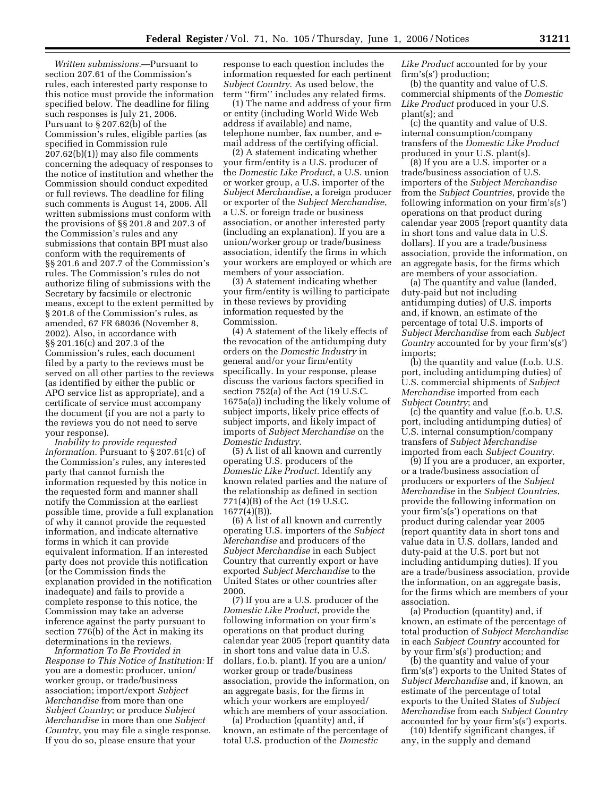*Written submissions.*—Pursuant to section 207.61 of the Commission's rules, each interested party response to this notice must provide the information specified below. The deadline for filing such responses is July 21, 2006. Pursuant to § 207.62(b) of the Commission's rules, eligible parties (as specified in Commission rule 207.62(b)(1)) may also file comments concerning the adequacy of responses to the notice of institution and whether the Commission should conduct expedited or full reviews. The deadline for filing such comments is August 14, 2006. All written submissions must conform with the provisions of §§ 201.8 and 207.3 of the Commission's rules and any submissions that contain BPI must also conform with the requirements of §§ 201.6 and 207.7 of the Commission's rules. The Commission's rules do not authorize filing of submissions with the Secretary by facsimile or electronic means, except to the extent permitted by § 201.8 of the Commission's rules, as amended, 67 FR 68036 (November 8, 2002). Also, in accordance with §§ 201.16(c) and 207.3 of the Commission's rules, each document filed by a party to the reviews must be served on all other parties to the reviews (as identified by either the public or APO service list as appropriate), and a certificate of service must accompany the document (if you are not a party to the reviews you do not need to serve your response).

*Inability to provide requested information.* Pursuant to § 207.61(c) of the Commission's rules, any interested party that cannot furnish the information requested by this notice in the requested form and manner shall notify the Commission at the earliest possible time, provide a full explanation of why it cannot provide the requested information, and indicate alternative forms in which it can provide equivalent information. If an interested party does not provide this notification (or the Commission finds the explanation provided in the notification inadequate) and fails to provide a complete response to this notice, the Commission may take an adverse inference against the party pursuant to section 776(b) of the Act in making its determinations in the reviews.

*Information To Be Provided in Response to This Notice of Institution:* If you are a domestic producer, union/ worker group, or trade/business association; import/export *Subject Merchandise* from more than one *Subject Country*; or produce *Subject Merchandise* in more than one *Subject Country*, you may file a single response. If you do so, please ensure that your

response to each question includes the information requested for each pertinent *Subject Country*. As used below, the term ''firm'' includes any related firms.

(1) The name and address of your firm or entity (including World Wide Web address if available) and name, telephone number, fax number, and email address of the certifying official.

(2) A statement indicating whether your firm/entity is a U.S. producer of the *Domestic Like Product*, a U.S. union or worker group, a U.S. importer of the *Subject Merchandise*, a foreign producer or exporter of the *Subject Merchandise*, a U.S. or foreign trade or business association, or another interested party (including an explanation). If you are a union/worker group or trade/business association, identify the firms in which your workers are employed or which are members of your association.

(3) A statement indicating whether your firm/entity is willing to participate in these reviews by providing information requested by the Commission.

(4) A statement of the likely effects of the revocation of the antidumping duty orders on the *Domestic Industry* in general and/or your firm/entity specifically. In your response, please discuss the various factors specified in section 752(a) of the Act (19 U.S.C. 1675a(a)) including the likely volume of subject imports, likely price effects of subject imports, and likely impact of imports of *Subject Merchandise* on the *Domestic Industry*.

(5) A list of all known and currently operating U.S. producers of the *Domestic Like Product*. Identify any known related parties and the nature of the relationship as defined in section 771(4)(B) of the Act (19 U.S.C.  $1677(4)(B)$ ).

(6) A list of all known and currently operating U.S. importers of the *Subject Merchandise* and producers of the *Subject Merchandise* in each Subject Country that currently export or have exported *Subject Merchandise* to the United States or other countries after 2000.

(7) If you are a U.S. producer of the *Domestic Like Product*, provide the following information on your firm's operations on that product during calendar year 2005 (report quantity data in short tons and value data in U.S. dollars, f.o.b. plant). If you are a union/ worker group or trade/business association, provide the information, on an aggregate basis, for the firms in which your workers are employed/ which are members of your association.

(a) Production (quantity) and, if known, an estimate of the percentage of total U.S. production of the *Domestic* 

*Like Product* accounted for by your firm's(s') production;

(b) the quantity and value of U.S. commercial shipments of the *Domestic Like Product* produced in your U.S. plant(s); and

(c) the quantity and value of U.S. internal consumption/company transfers of the *Domestic Like Product*  produced in your U.S. plant(s).

(8) If you are a U.S. importer or a trade/business association of U.S. importers of the *Subject Merchandise*  from the *Subject Countries*, provide the following information on your firm's(s') operations on that product during calendar year 2005 (report quantity data in short tons and value data in U.S. dollars). If you are a trade/business association, provide the information, on an aggregate basis, for the firms which are members of your association.

(a) The quantity and value (landed, duty-paid but not including antidumping duties) of U.S. imports and, if known, an estimate of the percentage of total U.S. imports of *Subject Merchandise* from each *Subject Country* accounted for by your firm's(s') imports;

(b) the quantity and value (f.o.b. U.S. port, including antidumping duties) of U.S. commercial shipments of *Subject Merchandise* imported from each *Subject Country*; and

(c) the quantity and value (f.o.b. U.S. port, including antidumping duties) of U.S. internal consumption/company transfers of *Subject Merchandise*  imported from each *Subject Country*.

(9) If you are a producer, an exporter, or a trade/business association of producers or exporters of the *Subject Merchandise* in the *Subject Countries*, provide the following information on your firm's(s') operations on that product during calendar year 2005 (report quantity data in short tons and value data in U.S. dollars, landed and duty-paid at the U.S. port but not including antidumping duties). If you are a trade/business association, provide the information, on an aggregate basis, for the firms which are members of your association.

(a) Production (quantity) and, if known, an estimate of the percentage of total production of *Subject Merchandise*  in each *Subject Country* accounted for by your firm's(s') production; and

(b) the quantity and value of your firm's(s') exports to the United States of *Subject Merchandise* and, if known, an estimate of the percentage of total exports to the United States of *Subject Merchandise* from each *Subject Country*  accounted for by your firm's(s') exports.

(10) Identify significant changes, if any, in the supply and demand